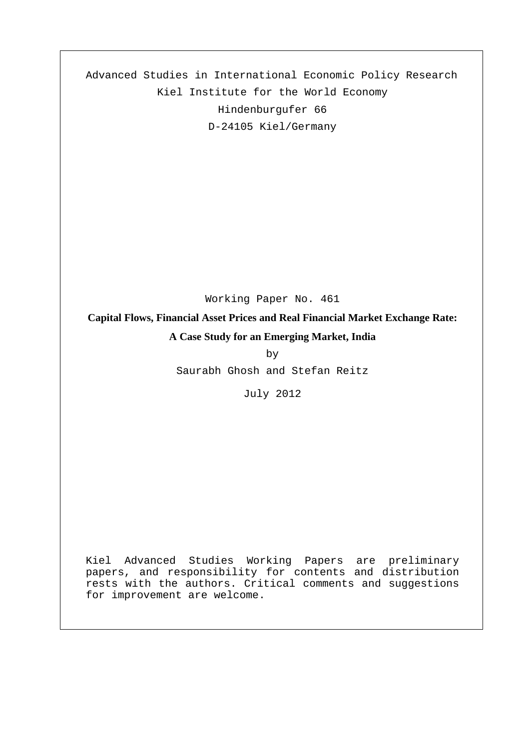Advanced Studies in International Economic Policy Research Kiel Institute for the World Economy Hindenburgufer 66 D-24105 Kiel/Germany

Working Paper No. 461

**Capital Flows, Financial Asset Prices and Real Financial Market Exchange Rate: A Case Study for an Emerging Market, India**

by

Saurabh Ghosh and Stefan Reitz

July 2012

Kiel Advanced Studies Working Papers are preliminary papers, and responsibility for contents and distribution rests with the authors. Critical comments and suggestions for improvement are welcome.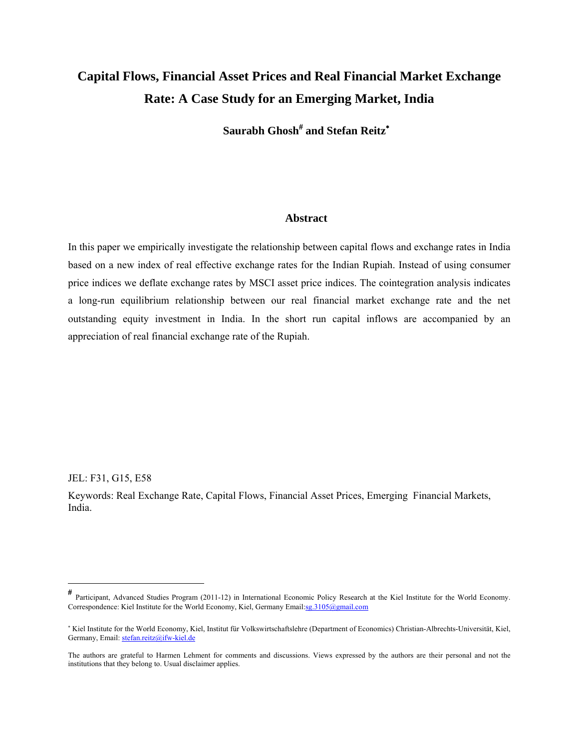# **Capital Flows, Financial Asset Prices and Real Financial Market Exchange Rate: A Case Study for an Emerging Market, India**

**Saurabh Ghosh**#  **and Stefan Reitz**<sup>∗</sup>

# **Abstract**

In this paper we empirically investigate the relationship between capital flows and exchange rates in India based on a new index of real effective exchange rates for the Indian Rupiah. Instead of using consumer price indices we deflate exchange rates by MSCI asset price indices. The cointegration analysis indicates a long-run equilibrium relationship between our real financial market exchange rate and the net outstanding equity investment in India. In the short run capital inflows are accompanied by an appreciation of real financial exchange rate of the Rupiah.

JEL: F31, G15, E58

Keywords: Real Exchange Rate, Capital Flows, Financial Asset Prices, Emerging Financial Markets, India.

<sup>#</sup> Participant, Advanced Studies Program (2011-12) in International Economic Policy Research at the Kiel Institute for the World Economy. Correspondence: Kiel Institute for the World Economy, Kiel, Germany Email:sg.3105@gmail.com

<sup>∗</sup> Kiel Institute for the World Economy, Kiel, Institut für Volkswirtschaftslehre (Department of Economics) Christian-Albrechts-Universität, Kiel, Germany, Email: stefan.reitz@ifw-kiel.de

The authors are grateful to Harmen Lehment for comments and discussions. Views expressed by the authors are their personal and not the institutions that they belong to. Usual disclaimer applies.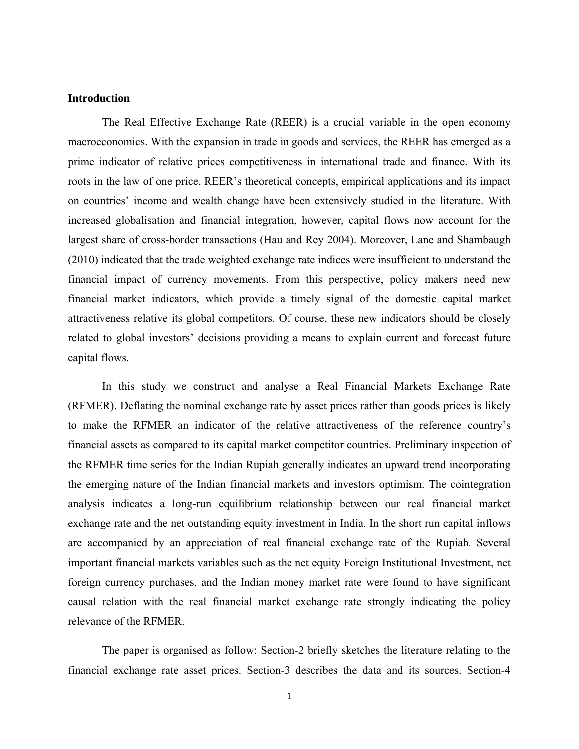#### **Introduction**

 The Real Effective Exchange Rate (REER) is a crucial variable in the open economy macroeconomics. With the expansion in trade in goods and services, the REER has emerged as a prime indicator of relative prices competitiveness in international trade and finance. With its roots in the law of one price, REER's theoretical concepts, empirical applications and its impact on countries' income and wealth change have been extensively studied in the literature. With increased globalisation and financial integration, however, capital flows now account for the largest share of cross-border transactions (Hau and Rey 2004). Moreover, Lane and Shambaugh (2010) indicated that the trade weighted exchange rate indices were insufficient to understand the financial impact of currency movements. From this perspective, policy makers need new financial market indicators, which provide a timely signal of the domestic capital market attractiveness relative its global competitors. Of course, these new indicators should be closely related to global investors' decisions providing a means to explain current and forecast future capital flows.

In this study we construct and analyse a Real Financial Markets Exchange Rate (RFMER). Deflating the nominal exchange rate by asset prices rather than goods prices is likely to make the RFMER an indicator of the relative attractiveness of the reference country's financial assets as compared to its capital market competitor countries. Preliminary inspection of the RFMER time series for the Indian Rupiah generally indicates an upward trend incorporating the emerging nature of the Indian financial markets and investors optimism. The cointegration analysis indicates a long-run equilibrium relationship between our real financial market exchange rate and the net outstanding equity investment in India. In the short run capital inflows are accompanied by an appreciation of real financial exchange rate of the Rupiah. Several important financial markets variables such as the net equity Foreign Institutional Investment, net foreign currency purchases, and the Indian money market rate were found to have significant causal relation with the real financial market exchange rate strongly indicating the policy relevance of the RFMER.

The paper is organised as follow: Section-2 briefly sketches the literature relating to the financial exchange rate asset prices. Section-3 describes the data and its sources. Section-4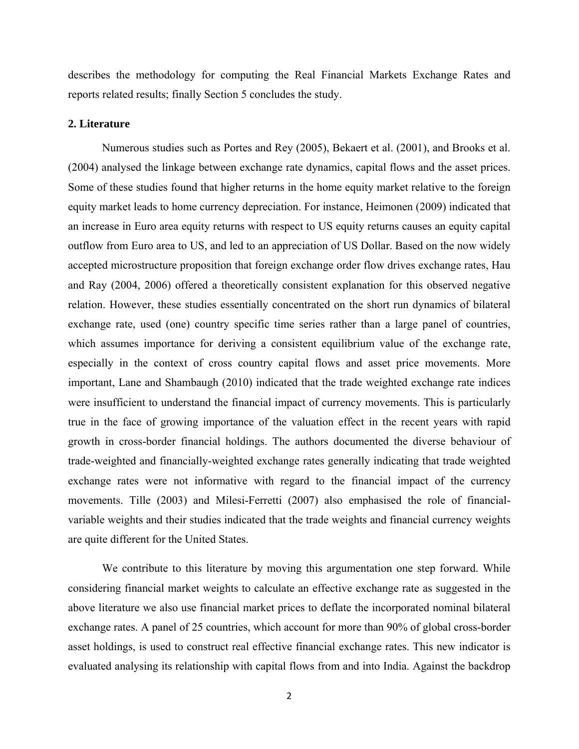describes the methodology for computing the Real Financial Markets Exchange Rates and reports related results; finally Section 5 concludes the study.

#### **2. Literature**

Numerous studies such as Portes and Rey (2005), Bekaert et al. (2001), and Brooks et al. (2004) analysed the linkage between exchange rate dynamics, capital flows and the asset prices. Some of these studies found that higher returns in the home equity market relative to the foreign equity market leads to home currency depreciation. For instance, Heimonen (2009) indicated that an increase in Euro area equity returns with respect to US equity returns causes an equity capital outflow from Euro area to US, and led to an appreciation of US Dollar. Based on the now widely accepted microstructure proposition that foreign exchange order flow drives exchange rates, Hau and Ray (2004, 2006) offered a theoretically consistent explanation for this observed negative relation. However, these studies essentially concentrated on the short run dynamics of bilateral exchange rate, used (one) country specific time series rather than a large panel of countries, which assumes importance for deriving a consistent equilibrium value of the exchange rate, especially in the context of cross country capital flows and asset price movements. More important, Lane and Shambaugh (2010) indicated that the trade weighted exchange rate indices were insufficient to understand the financial impact of currency movements. This is particularly true in the face of growing importance of the valuation effect in the recent years with rapid growth in cross-border financial holdings. The authors documented the diverse behaviour of trade-weighted and financially-weighted exchange rates generally indicating that trade weighted exchange rates were not informative with regard to the financial impact of the currency movements. Tille (2003) and Milesi-Ferretti (2007) also emphasised the role of financialvariable weights and their studies indicated that the trade weights and financial currency weights are quite different for the United States.

We contribute to this literature by moving this argumentation one step forward. While considering financial market weights to calculate an effective exchange rate as suggested in the above literature we also use financial market prices to deflate the incorporated nominal bilateral exchange rates. A panel of 25 countries, which account for more than 90% of global cross-border asset holdings, is used to construct real effective financial exchange rates. This new indicator is evaluated analysing its relationship with capital flows from and into India. Against the backdrop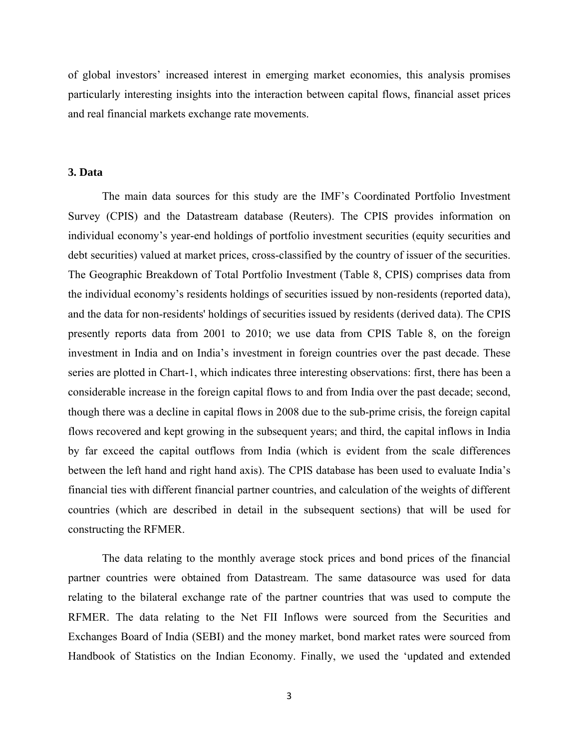of global investors' increased interest in emerging market economies, this analysis promises particularly interesting insights into the interaction between capital flows, financial asset prices and real financial markets exchange rate movements.

# **3. Data**

The main data sources for this study are the IMF's Coordinated Portfolio Investment Survey (CPIS) and the Datastream database (Reuters). The CPIS provides information on individual economy's year-end holdings of portfolio investment securities (equity securities and debt securities) valued at market prices, cross-classified by the country of issuer of the securities. The Geographic Breakdown of Total Portfolio Investment (Table 8, CPIS) comprises data from the individual economy's residents holdings of securities issued by non-residents (reported data), and the data for non-residents' holdings of securities issued by residents (derived data). The CPIS presently reports data from 2001 to 2010; we use data from CPIS Table 8, on the foreign investment in India and on India's investment in foreign countries over the past decade. These series are plotted in Chart-1, which indicates three interesting observations: first, there has been a considerable increase in the foreign capital flows to and from India over the past decade; second, though there was a decline in capital flows in 2008 due to the sub-prime crisis, the foreign capital flows recovered and kept growing in the subsequent years; and third, the capital inflows in India by far exceed the capital outflows from India (which is evident from the scale differences between the left hand and right hand axis). The CPIS database has been used to evaluate India's financial ties with different financial partner countries, and calculation of the weights of different countries (which are described in detail in the subsequent sections) that will be used for constructing the RFMER.

The data relating to the monthly average stock prices and bond prices of the financial partner countries were obtained from Datastream. The same datasource was used for data relating to the bilateral exchange rate of the partner countries that was used to compute the RFMER. The data relating to the Net FII Inflows were sourced from the Securities and Exchanges Board of India (SEBI) and the money market, bond market rates were sourced from Handbook of Statistics on the Indian Economy. Finally, we used the 'updated and extended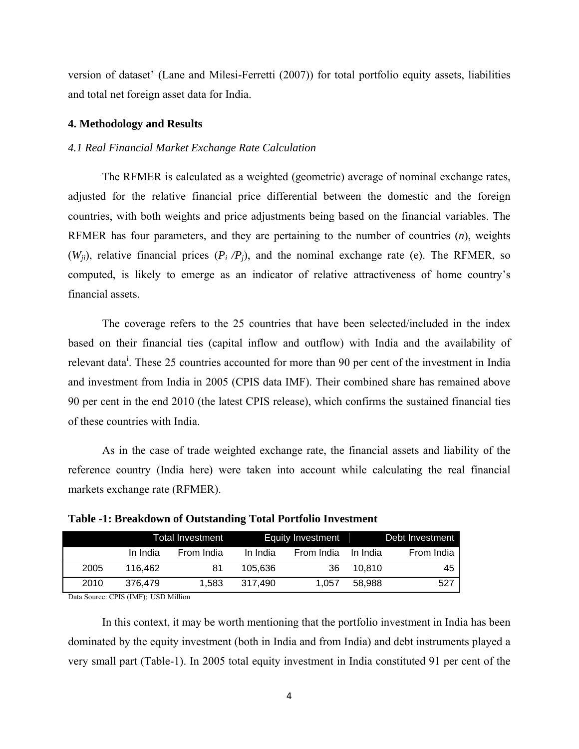version of dataset' (Lane and Milesi-Ferretti (2007)) for total portfolio equity assets, liabilities and total net foreign asset data for India.

#### **4. Methodology and Results**

#### *4.1 Real Financial Market Exchange Rate Calculation*

The RFMER is calculated as a weighted (geometric) average of nominal exchange rates, adjusted for the relative financial price differential between the domestic and the foreign countries, with both weights and price adjustments being based on the financial variables. The RFMER has four parameters, and they are pertaining to the number of countries (*n*), weights  $(W_{ii})$ , relative financial prices  $(P_i/P_i)$ , and the nominal exchange rate (e). The RFMER, so computed, is likely to emerge as an indicator of relative attractiveness of home country's financial assets.

The coverage refers to the 25 countries that have been selected/included in the index based on their financial ties (capital inflow and outflow) with India and the availability of relevant data<sup>i</sup>. These 25 countries accounted for more than 90 per cent of the investment in India and investment from India in 2005 (CPIS data IMF). Their combined share has remained above 90 per cent in the end 2010 (the latest CPIS release), which confirms the sustained financial ties of these countries with India.

As in the case of trade weighted exchange rate, the financial assets and liability of the reference country (India here) were taken into account while calculating the real financial markets exchange rate (RFMER).

|      |          | Total Investment |          | Equity Investment | Debt Investment |            |  |
|------|----------|------------------|----------|-------------------|-----------------|------------|--|
|      | In India | From India       | In India | From India        | In India        | From India |  |
| 2005 | 116.462  | 81               | 105.636  | 36                | 10.810          | 45         |  |
| 2010 | 376.479  | 1.583            | 317.490  | 1.057             | 58.988          | 527        |  |

**Table -1: Breakdown of Outstanding Total Portfolio Investment**

Data Source: CPIS (IMF); USD Million

In this context, it may be worth mentioning that the portfolio investment in India has been dominated by the equity investment (both in India and from India) and debt instruments played a very small part (Table-1). In 2005 total equity investment in India constituted 91 per cent of the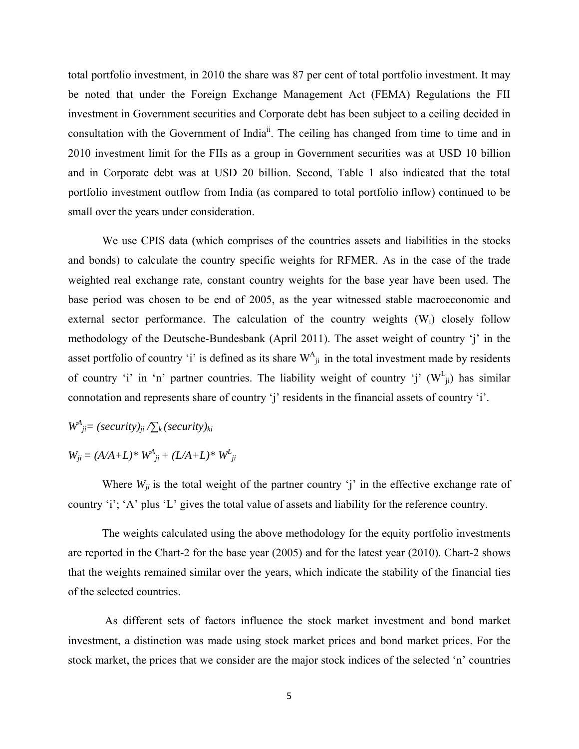total portfolio investment, in 2010 the share was 87 per cent of total portfolio investment. It may be noted that under the Foreign Exchange Management Act (FEMA) Regulations the FII investment in Government securities and Corporate debt has been subject to a ceiling decided in consultation with the Government of India<sup>ii</sup>. The ceiling has changed from time to time and in 2010 investment limit for the FIIs as a group in Government securities was at USD 10 billion and in Corporate debt was at USD 20 billion. Second, Table 1 also indicated that the total portfolio investment outflow from India (as compared to total portfolio inflow) continued to be small over the years under consideration.

We use CPIS data (which comprises of the countries assets and liabilities in the stocks and bonds) to calculate the country specific weights for RFMER. As in the case of the trade weighted real exchange rate, constant country weights for the base year have been used. The base period was chosen to be end of 2005, as the year witnessed stable macroeconomic and external sector performance. The calculation of the country weights  $(W<sub>i</sub>)$  closely follow methodology of the Deutsche-Bundesbank (April 2011). The asset weight of country 'j' in the asset portfolio of country 'i' is defined as its share  $W_{ji}^A$  in the total investment made by residents of country 'i' in 'n' partner countries. The liability weight of country 'j'  $(W_{ji}^L)$  has similar connotation and represents share of country 'j' residents in the financial assets of country 'i'.

 $W^A_{\phantom{A}ji}$  = (security)<sub>ji</sub>  $\sum_k$  (security)<sub>ki</sub>

 $W_{ji} = (A/A + L)^* W^A_{ji} + (L/A + L)^* W^L_{ji}$ 

Where  $W_{ii}$  is the total weight of the partner country 'j' in the effective exchange rate of country 'i'; 'A' plus 'L' gives the total value of assets and liability for the reference country.

The weights calculated using the above methodology for the equity portfolio investments are reported in the Chart-2 for the base year (2005) and for the latest year (2010). Chart-2 shows that the weights remained similar over the years, which indicate the stability of the financial ties of the selected countries.

 As different sets of factors influence the stock market investment and bond market investment, a distinction was made using stock market prices and bond market prices. For the stock market, the prices that we consider are the major stock indices of the selected 'n' countries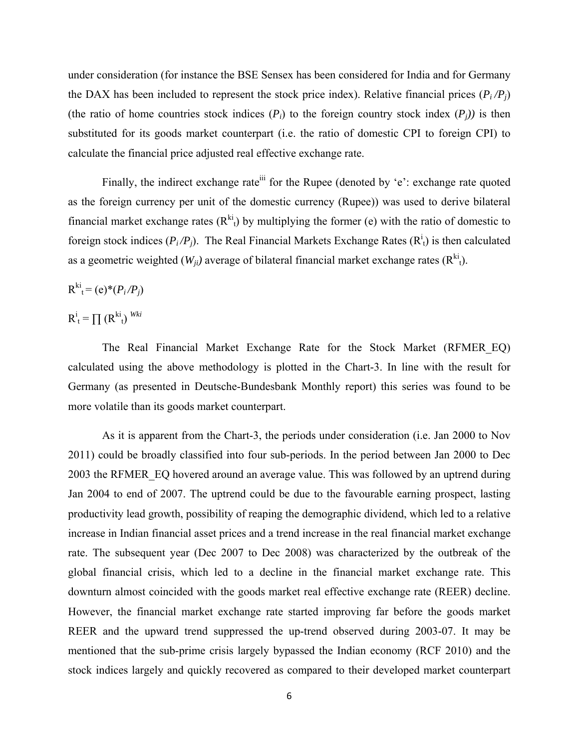under consideration (for instance the BSE Sensex has been considered for India and for Germany the DAX has been included to represent the stock price index). Relative financial prices  $(P_i/P_i)$ (the ratio of home countries stock indices  $(P_i)$  to the foreign country stock index  $(P_i)$ ) is then substituted for its goods market counterpart (i.e. the ratio of domestic CPI to foreign CPI) to calculate the financial price adjusted real effective exchange rate.

Finally, the indirect exchange rate  $\ddot{m}$  for the Rupee (denoted by 'e': exchange rate quoted as the foreign currency per unit of the domestic currency (Rupee)) was used to derive bilateral financial market exchange rates  $(R^{ki}_{t})$  by multiplying the former (e) with the ratio of domestic to foreign stock indices  $(P_i/P_j)$ . The Real Financial Markets Exchange Rates  $(R_i^i)$  is then calculated as a geometric weighted  $(W_{ji})$  average of bilateral financial market exchange rates  $(R^{ki}_{t})$ .

$$
R^{\text{ki}}_{t} = (e)^{*}(P_i/P_j)
$$

 $R_t^i = \prod_{i} (R_{t}^{ki})^{Wki}$ 

The Real Financial Market Exchange Rate for the Stock Market (RFMER\_EQ) calculated using the above methodology is plotted in the Chart-3. In line with the result for Germany (as presented in Deutsche-Bundesbank Monthly report) this series was found to be more volatile than its goods market counterpart.

As it is apparent from the Chart-3, the periods under consideration (i.e. Jan 2000 to Nov 2011) could be broadly classified into four sub-periods. In the period between Jan 2000 to Dec 2003 the RFMER\_EQ hovered around an average value. This was followed by an uptrend during Jan 2004 to end of 2007. The uptrend could be due to the favourable earning prospect, lasting productivity lead growth, possibility of reaping the demographic dividend, which led to a relative increase in Indian financial asset prices and a trend increase in the real financial market exchange rate. The subsequent year (Dec 2007 to Dec 2008) was characterized by the outbreak of the global financial crisis, which led to a decline in the financial market exchange rate. This downturn almost coincided with the goods market real effective exchange rate (REER) decline. However, the financial market exchange rate started improving far before the goods market REER and the upward trend suppressed the up-trend observed during 2003-07. It may be mentioned that the sub-prime crisis largely bypassed the Indian economy (RCF 2010) and the stock indices largely and quickly recovered as compared to their developed market counterpart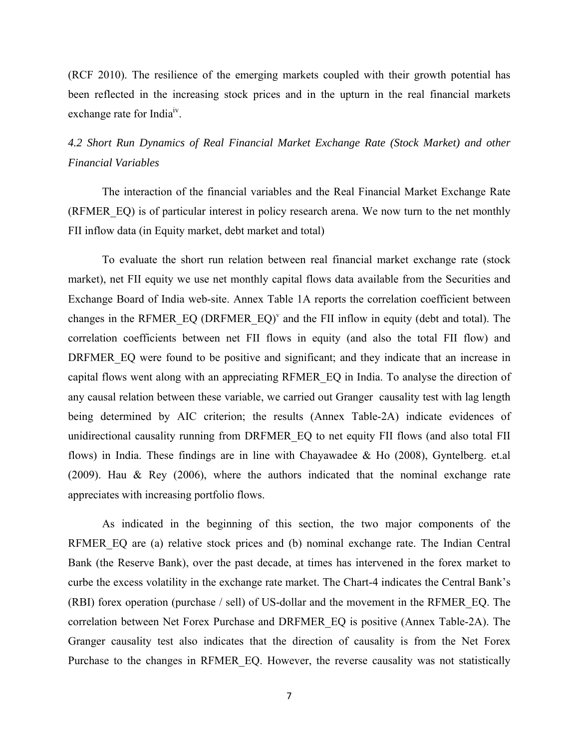(RCF 2010). The resilience of the emerging markets coupled with their growth potential has been reflected in the increasing stock prices and in the upturn in the real financial markets exchange rate for India<sup>1v</sup>.

# *4.2 Short Run Dynamics of Real Financial Market Exchange Rate (Stock Market) and other Financial Variables*

The interaction of the financial variables and the Real Financial Market Exchange Rate (RFMER\_EQ) is of particular interest in policy research arena. We now turn to the net monthly FII inflow data (in Equity market, debt market and total)

To evaluate the short run relation between real financial market exchange rate (stock market), net FII equity we use net monthly capital flows data available from the Securities and Exchange Board of India web-site. Annex Table 1A reports the correlation coefficient between changes in the RFMER EQ (DRFMER EQ)<sup>v</sup> and the FII inflow in equity (debt and total). The correlation coefficients between net FII flows in equity (and also the total FII flow) and DRFMER EQ were found to be positive and significant; and they indicate that an increase in capital flows went along with an appreciating RFMER\_EQ in India. To analyse the direction of any causal relation between these variable, we carried out Granger causality test with lag length being determined by AIC criterion; the results (Annex Table-2A) indicate evidences of unidirectional causality running from DRFMER\_EQ to net equity FII flows (and also total FII flows) in India. These findings are in line with Chayawadee & Ho (2008), Gyntelberg. et.al (2009). Hau & Rey (2006), where the authors indicated that the nominal exchange rate appreciates with increasing portfolio flows.

As indicated in the beginning of this section, the two major components of the RFMER EQ are (a) relative stock prices and (b) nominal exchange rate. The Indian Central Bank (the Reserve Bank), over the past decade, at times has intervened in the forex market to curbe the excess volatility in the exchange rate market. The Chart-4 indicates the Central Bank's (RBI) forex operation (purchase / sell) of US-dollar and the movement in the RFMER\_EQ. The correlation between Net Forex Purchase and DRFMER\_EQ is positive (Annex Table-2A). The Granger causality test also indicates that the direction of causality is from the Net Forex Purchase to the changes in RFMER EQ. However, the reverse causality was not statistically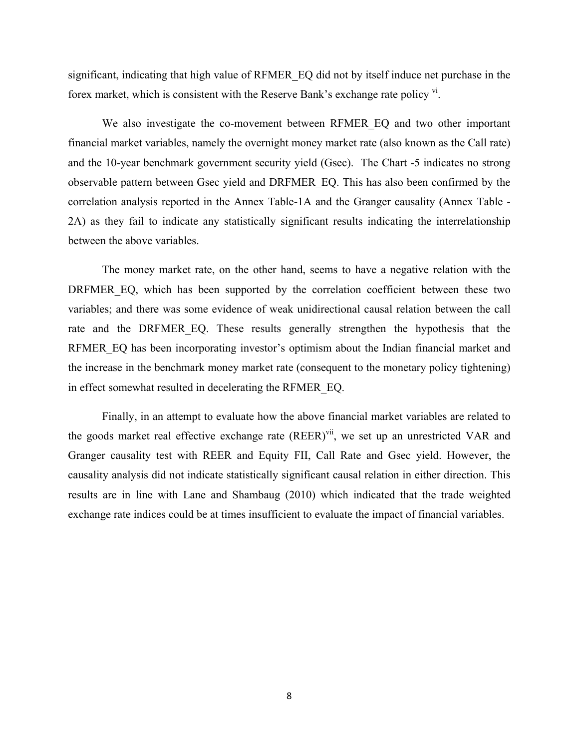significant, indicating that high value of RFMER\_EQ did not by itself induce net purchase in the forex market, which is consistent with the Reserve Bank's exchange rate policy  $\frac{v_i}{v}$ .

 We also investigate the co-movement between RFMER\_EQ and two other important financial market variables, namely the overnight money market rate (also known as the Call rate) and the 10-year benchmark government security yield (Gsec). The Chart -5 indicates no strong observable pattern between Gsec yield and DRFMER\_EQ. This has also been confirmed by the correlation analysis reported in the Annex Table-1A and the Granger causality (Annex Table - 2A) as they fail to indicate any statistically significant results indicating the interrelationship between the above variables.

The money market rate, on the other hand, seems to have a negative relation with the DRFMER EQ, which has been supported by the correlation coefficient between these two variables; and there was some evidence of weak unidirectional causal relation between the call rate and the DRFMER EQ. These results generally strengthen the hypothesis that the RFMER EQ has been incorporating investor's optimism about the Indian financial market and the increase in the benchmark money market rate (consequent to the monetary policy tightening) in effect somewhat resulted in decelerating the RFMER\_EQ.

Finally, in an attempt to evaluate how the above financial market variables are related to the goods market real effective exchange rate  $(REER)^{vi}$ , we set up an unrestricted VAR and Granger causality test with REER and Equity FII, Call Rate and Gsec yield. However, the causality analysis did not indicate statistically significant causal relation in either direction. This results are in line with Lane and Shambaug (2010) which indicated that the trade weighted exchange rate indices could be at times insufficient to evaluate the impact of financial variables.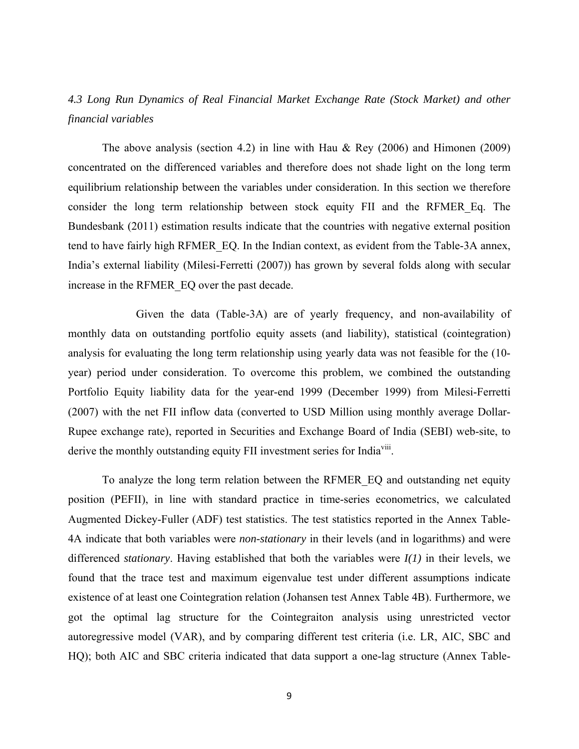# *4.3 Long Run Dynamics of Real Financial Market Exchange Rate (Stock Market) and other financial variables*

The above analysis (section 4.2) in line with Hau & Rey  $(2006)$  and Himonen  $(2009)$ concentrated on the differenced variables and therefore does not shade light on the long term equilibrium relationship between the variables under consideration. In this section we therefore consider the long term relationship between stock equity FII and the RFMER\_Eq. The Bundesbank (2011) estimation results indicate that the countries with negative external position tend to have fairly high RFMER\_EQ. In the Indian context, as evident from the Table-3A annex, India's external liability (Milesi-Ferretti (2007)) has grown by several folds along with secular increase in the RFMER\_EQ over the past decade.

Given the data (Table-3A) are of yearly frequency, and non-availability of monthly data on outstanding portfolio equity assets (and liability), statistical (cointegration) analysis for evaluating the long term relationship using yearly data was not feasible for the (10 year) period under consideration. To overcome this problem, we combined the outstanding Portfolio Equity liability data for the year-end 1999 (December 1999) from Milesi-Ferretti (2007) with the net FII inflow data (converted to USD Million using monthly average Dollar-Rupee exchange rate), reported in Securities and Exchange Board of India (SEBI) web-site, to derive the monthly outstanding equity FII investment series for India<sup>viii</sup>.

To analyze the long term relation between the RFMER\_EQ and outstanding net equity position (PEFII), in line with standard practice in time-series econometrics, we calculated Augmented Dickey-Fuller (ADF) test statistics. The test statistics reported in the Annex Table-4A indicate that both variables were *non-stationary* in their levels (and in logarithms) and were differenced *stationary*. Having established that both the variables were *I(1)* in their levels, we found that the trace test and maximum eigenvalue test under different assumptions indicate existence of at least one Cointegration relation (Johansen test Annex Table 4B). Furthermore, we got the optimal lag structure for the Cointegraiton analysis using unrestricted vector autoregressive model (VAR), and by comparing different test criteria (i.e. LR, AIC, SBC and HQ); both AIC and SBC criteria indicated that data support a one-lag structure (Annex Table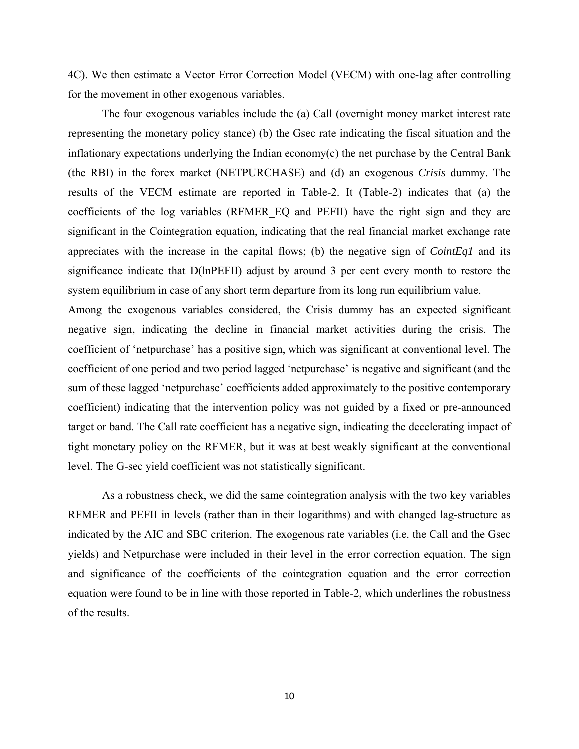4C). We then estimate a Vector Error Correction Model (VECM) with one-lag after controlling for the movement in other exogenous variables.

The four exogenous variables include the (a) Call (overnight money market interest rate representing the monetary policy stance) (b) the Gsec rate indicating the fiscal situation and the inflationary expectations underlying the Indian economy(c) the net purchase by the Central Bank (the RBI) in the forex market (NETPURCHASE) and (d) an exogenous *Crisis* dummy. The results of the VECM estimate are reported in Table-2. It (Table-2) indicates that (a) the coefficients of the log variables (RFMER\_EQ and PEFII) have the right sign and they are significant in the Cointegration equation, indicating that the real financial market exchange rate appreciates with the increase in the capital flows; (b) the negative sign of *CointEq1* and its significance indicate that D(lnPEFII) adjust by around 3 per cent every month to restore the system equilibrium in case of any short term departure from its long run equilibrium value.

Among the exogenous variables considered, the Crisis dummy has an expected significant negative sign, indicating the decline in financial market activities during the crisis. The coefficient of 'netpurchase' has a positive sign, which was significant at conventional level. The coefficient of one period and two period lagged 'netpurchase' is negative and significant (and the sum of these lagged 'netpurchase' coefficients added approximately to the positive contemporary coefficient) indicating that the intervention policy was not guided by a fixed or pre-announced target or band. The Call rate coefficient has a negative sign, indicating the decelerating impact of tight monetary policy on the RFMER, but it was at best weakly significant at the conventional level. The G-sec yield coefficient was not statistically significant.

As a robustness check, we did the same cointegration analysis with the two key variables RFMER and PEFII in levels (rather than in their logarithms) and with changed lag-structure as indicated by the AIC and SBC criterion. The exogenous rate variables (i.e. the Call and the Gsec yields) and Netpurchase were included in their level in the error correction equation. The sign and significance of the coefficients of the cointegration equation and the error correction equation were found to be in line with those reported in Table-2, which underlines the robustness of the results.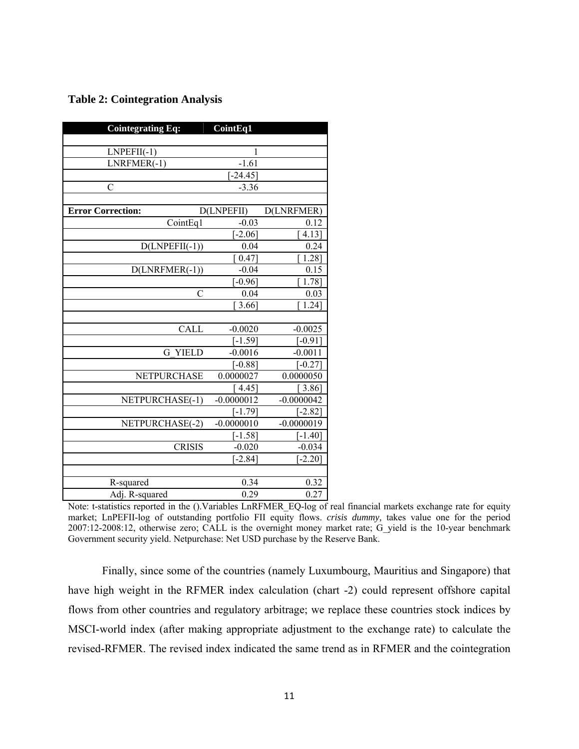|  | <b>Table 2: Cointegration Analysis</b> |  |
|--|----------------------------------------|--|
|--|----------------------------------------|--|

| <b>Cointegrating Eq:</b> | <b>CointEq1</b>     |              |
|--------------------------|---------------------|--------------|
|                          |                     |              |
| $LNPEFII(-1)$            | $\mathbf{1}$        |              |
| LNRFMER(-1)              | $-1.61$             |              |
|                          | $[-24.45]$          |              |
| $\overline{C}$           | $-3.36$             |              |
|                          |                     |              |
| <b>Error Correction:</b> | D(LNPEFII)          | D(LNRFMER)   |
| CointEq1                 | $-0.03$             | 0.12         |
|                          | $[-2.06]$           | 4.13]        |
| $D(LNPEFII(-1))$         | 0.04                | 0.24         |
|                          | $\left[0.47\right]$ | 1.28]        |
| $D(LNRFMER(-1))$         | $-0.04$             | 0.15         |
|                          | $[-0.96]$           | 1.78]        |
| $\mathcal{C}$            | 0.04                | 0.03         |
|                          | 3.66                | 1.24]        |
|                          |                     |              |
| CALL                     | $-0.0020$           | $-0.0025$    |
|                          | $[-1.59]$           | $[-0.91]$    |
| <b>YIELD</b><br>G        | $-0.0016$           | $-0.0011$    |
|                          | $[-0.88]$           | $[-0.27]$    |
| NETPURCHASE              | 0.0000027           | 0.0000050    |
|                          | [4.45]              | [3.86]       |
| NETPURCHASE(-1)          | $-0.0000012$        | $-0.0000042$ |
|                          | $[-1.79]$           | $[-2.82]$    |
| NETPURCHASE(-2)          | $-0.0000010$        | $-0.0000019$ |
|                          | $[-1.58]$           | $[-1.40]$    |
| <b>CRISIS</b>            | $-0.020$            | $-0.034$     |
|                          | $[-2.84]$           | $[-2.20]$    |
|                          |                     |              |
| R-squared                | 0.34                | 0.32         |
| Adj. R-squared           | 0.29                | 0.27         |

Note: t-statistics reported in the ().Variables LnRFMER\_EQ-log of real financial markets exchange rate for equity market; LnPEFII-log of outstanding portfolio FII equity flows. *crisis dummy,* takes value one for the period 2007:12-2008:12, otherwise zero; CALL is the overnight money market rate; G\_yield is the 10-year benchmark Government security yield. Netpurchase: Net USD purchase by the Reserve Bank.

Finally, since some of the countries (namely Luxumbourg, Mauritius and Singapore) that have high weight in the RFMER index calculation (chart -2) could represent offshore capital flows from other countries and regulatory arbitrage; we replace these countries stock indices by MSCI-world index (after making appropriate adjustment to the exchange rate) to calculate the revised-RFMER. The revised index indicated the same trend as in RFMER and the cointegration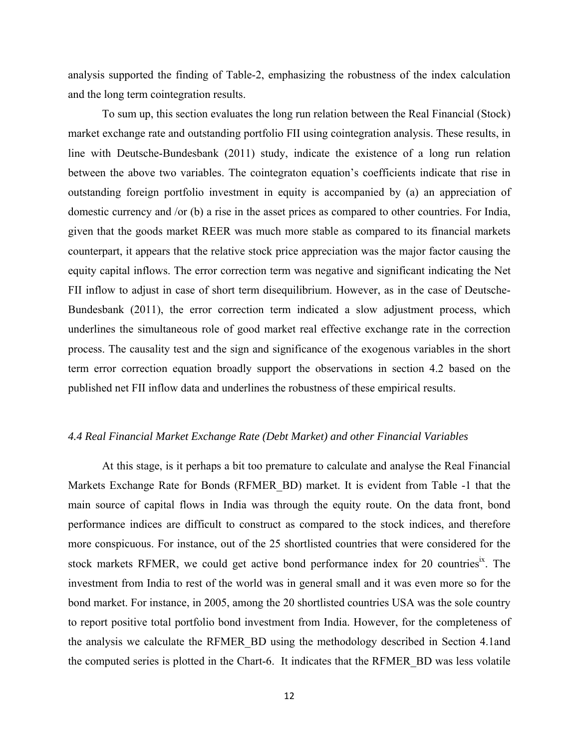analysis supported the finding of Table-2, emphasizing the robustness of the index calculation and the long term cointegration results.

To sum up, this section evaluates the long run relation between the Real Financial (Stock) market exchange rate and outstanding portfolio FII using cointegration analysis. These results, in line with Deutsche-Bundesbank (2011) study, indicate the existence of a long run relation between the above two variables. The cointegraton equation's coefficients indicate that rise in outstanding foreign portfolio investment in equity is accompanied by (a) an appreciation of domestic currency and /or (b) a rise in the asset prices as compared to other countries. For India, given that the goods market REER was much more stable as compared to its financial markets counterpart, it appears that the relative stock price appreciation was the major factor causing the equity capital inflows. The error correction term was negative and significant indicating the Net FII inflow to adjust in case of short term disequilibrium. However, as in the case of Deutsche-Bundesbank (2011), the error correction term indicated a slow adjustment process, which underlines the simultaneous role of good market real effective exchange rate in the correction process. The causality test and the sign and significance of the exogenous variables in the short term error correction equation broadly support the observations in section 4.2 based on the published net FII inflow data and underlines the robustness of these empirical results.

#### *4.4 Real Financial Market Exchange Rate (Debt Market) and other Financial Variables*

At this stage, is it perhaps a bit too premature to calculate and analyse the Real Financial Markets Exchange Rate for Bonds (RFMER\_BD) market. It is evident from Table -1 that the main source of capital flows in India was through the equity route. On the data front, bond performance indices are difficult to construct as compared to the stock indices, and therefore more conspicuous. For instance, out of the 25 shortlisted countries that were considered for the stock markets RFMER, we could get active bond performance index for 20 countries<sup>ix</sup>. The investment from India to rest of the world was in general small and it was even more so for the bond market. For instance, in 2005, among the 20 shortlisted countries USA was the sole country to report positive total portfolio bond investment from India. However, for the completeness of the analysis we calculate the RFMER\_BD using the methodology described in Section 4.1and the computed series is plotted in the Chart-6. It indicates that the RFMER\_BD was less volatile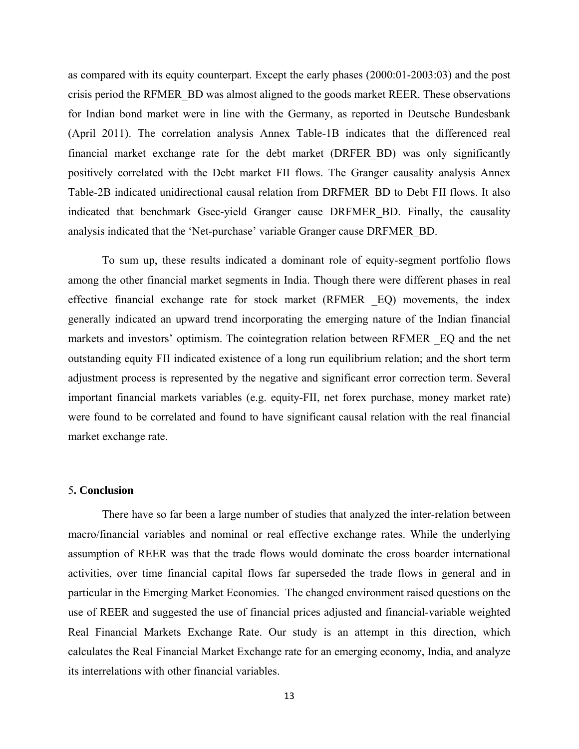as compared with its equity counterpart. Except the early phases (2000:01-2003:03) and the post crisis period the RFMER\_BD was almost aligned to the goods market REER. These observations for Indian bond market were in line with the Germany, as reported in Deutsche Bundesbank (April 2011). The correlation analysis Annex Table-1B indicates that the differenced real financial market exchange rate for the debt market (DRFER\_BD) was only significantly positively correlated with the Debt market FII flows. The Granger causality analysis Annex Table-2B indicated unidirectional causal relation from DRFMER\_BD to Debt FII flows. It also indicated that benchmark Gsec-yield Granger cause DRFMER\_BD. Finally, the causality analysis indicated that the 'Net-purchase' variable Granger cause DRFMER\_BD.

To sum up, these results indicated a dominant role of equity-segment portfolio flows among the other financial market segments in India. Though there were different phases in real effective financial exchange rate for stock market (RFMER \_EQ) movements, the index generally indicated an upward trend incorporating the emerging nature of the Indian financial markets and investors' optimism. The cointegration relation between RFMER \_EQ and the net outstanding equity FII indicated existence of a long run equilibrium relation; and the short term adjustment process is represented by the negative and significant error correction term. Several important financial markets variables (e.g. equity-FII, net forex purchase, money market rate) were found to be correlated and found to have significant causal relation with the real financial market exchange rate.

#### 5**. Conclusion**

There have so far been a large number of studies that analyzed the inter-relation between macro/financial variables and nominal or real effective exchange rates. While the underlying assumption of REER was that the trade flows would dominate the cross boarder international activities, over time financial capital flows far superseded the trade flows in general and in particular in the Emerging Market Economies. The changed environment raised questions on the use of REER and suggested the use of financial prices adjusted and financial-variable weighted Real Financial Markets Exchange Rate. Our study is an attempt in this direction, which calculates the Real Financial Market Exchange rate for an emerging economy, India, and analyze its interrelations with other financial variables.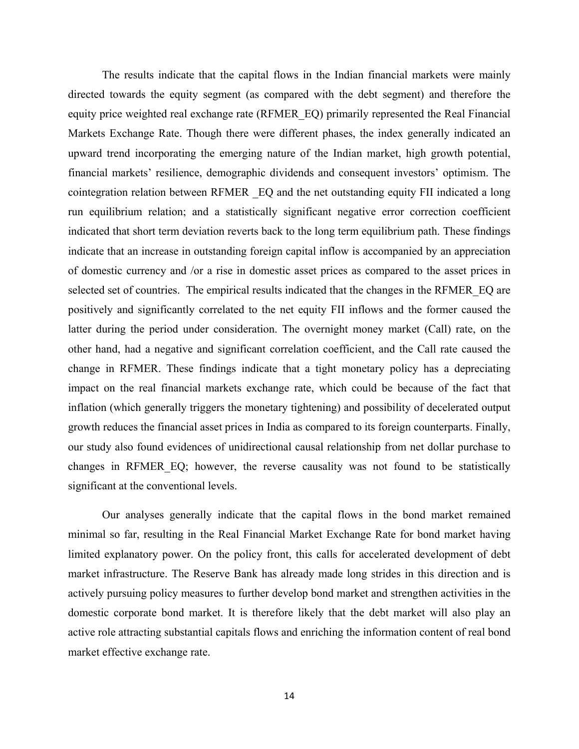The results indicate that the capital flows in the Indian financial markets were mainly directed towards the equity segment (as compared with the debt segment) and therefore the equity price weighted real exchange rate (RFMER\_EQ) primarily represented the Real Financial Markets Exchange Rate. Though there were different phases, the index generally indicated an upward trend incorporating the emerging nature of the Indian market, high growth potential, financial markets' resilience, demographic dividends and consequent investors' optimism. The cointegration relation between RFMER \_EQ and the net outstanding equity FII indicated a long run equilibrium relation; and a statistically significant negative error correction coefficient indicated that short term deviation reverts back to the long term equilibrium path. These findings indicate that an increase in outstanding foreign capital inflow is accompanied by an appreciation of domestic currency and /or a rise in domestic asset prices as compared to the asset prices in selected set of countries. The empirical results indicated that the changes in the RFMER\_EQ are positively and significantly correlated to the net equity FII inflows and the former caused the latter during the period under consideration. The overnight money market (Call) rate, on the other hand, had a negative and significant correlation coefficient, and the Call rate caused the change in RFMER. These findings indicate that a tight monetary policy has a depreciating impact on the real financial markets exchange rate, which could be because of the fact that inflation (which generally triggers the monetary tightening) and possibility of decelerated output growth reduces the financial asset prices in India as compared to its foreign counterparts. Finally, our study also found evidences of unidirectional causal relationship from net dollar purchase to changes in RFMER\_EQ; however, the reverse causality was not found to be statistically significant at the conventional levels.

 Our analyses generally indicate that the capital flows in the bond market remained minimal so far, resulting in the Real Financial Market Exchange Rate for bond market having limited explanatory power. On the policy front, this calls for accelerated development of debt market infrastructure. The Reserve Bank has already made long strides in this direction and is actively pursuing policy measures to further develop bond market and strengthen activities in the domestic corporate bond market. It is therefore likely that the debt market will also play an active role attracting substantial capitals flows and enriching the information content of real bond market effective exchange rate.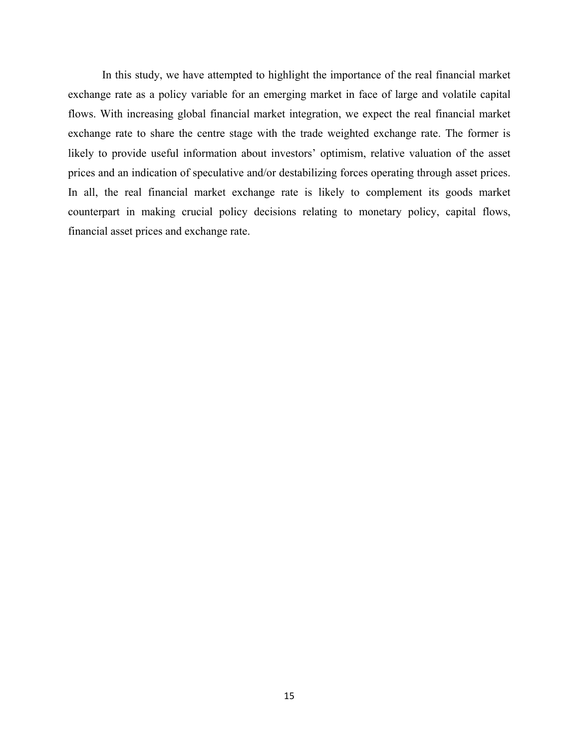In this study, we have attempted to highlight the importance of the real financial market exchange rate as a policy variable for an emerging market in face of large and volatile capital flows. With increasing global financial market integration, we expect the real financial market exchange rate to share the centre stage with the trade weighted exchange rate. The former is likely to provide useful information about investors' optimism, relative valuation of the asset prices and an indication of speculative and/or destabilizing forces operating through asset prices. In all, the real financial market exchange rate is likely to complement its goods market counterpart in making crucial policy decisions relating to monetary policy, capital flows, financial asset prices and exchange rate.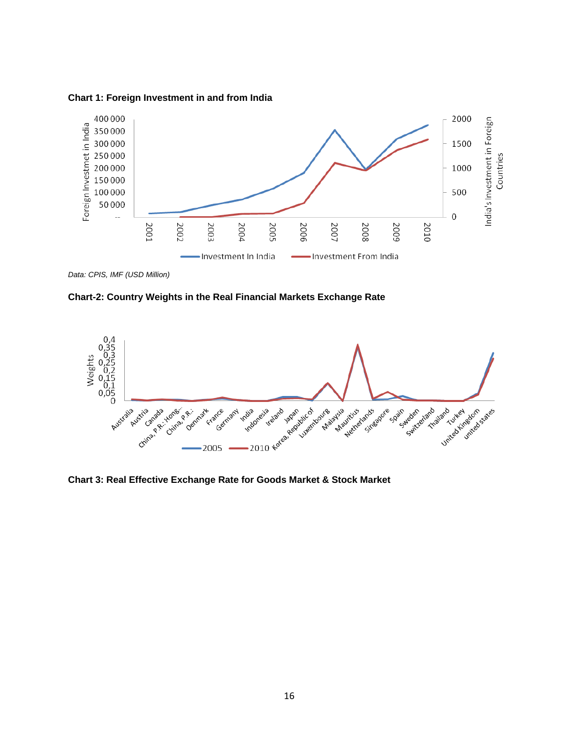

**Chart 1: Foreign Investment in and from India** 

*Data: CPIS, IMF (USD Million)*





**Chart 3: Real Effective Exchange Rate for Goods Market & Stock Market**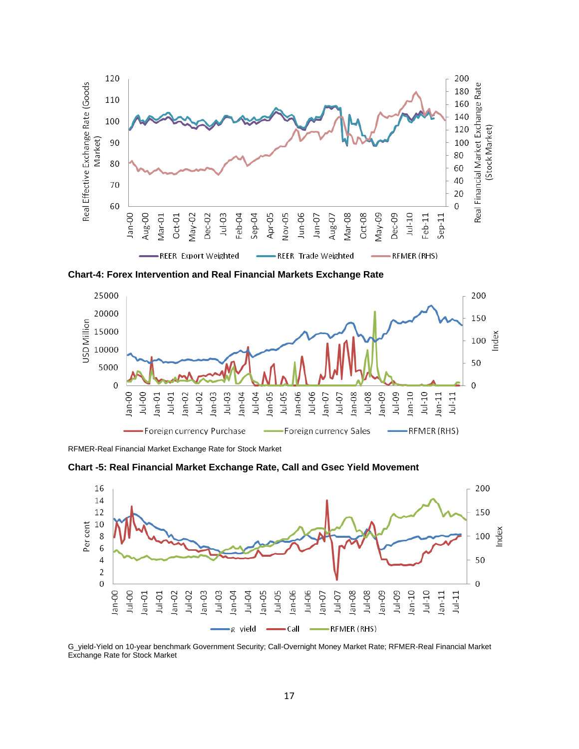

**Chart-4: Forex Intervention and Real Financial Markets Exchange Rate**



RFMER-Real Financial Market Exchange Rate for Stock Market

**Chart -5: Real Financial Market Exchange Rate, Call and Gsec Yield Movement**



G\_yield-Yield on 10-year benchmark Government Security; Call-Overnight Money Market Rate; RFMER-Real Financial Market Exchange Rate for Stock Market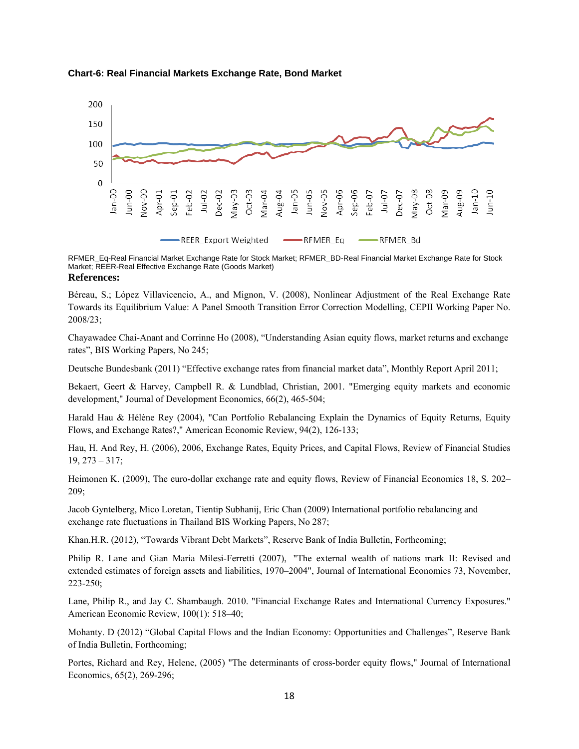

#### **Chart-6: Real Financial Markets Exchange Rate, Bond Market**

RFMER\_Eq-Real Financial Market Exchange Rate for Stock Market; RFMER\_BD-Real Financial Market Exchange Rate for Stock Market; REER-Real Effective Exchange Rate (Goods Market) **References:** 

Béreau, S.; López Villavicencio, A., and Mignon, V. (2008), Nonlinear Adjustment of the Real Exchange Rate Towards its Equilibrium Value: A Panel Smooth Transition Error Correction Modelling, CEPII Working Paper No. 2008/23;

Chayawadee Chai-Anant and Corrinne Ho (2008), "Understanding Asian equity flows, market returns and exchange rates", BIS Working Papers, No 245;

Deutsche Bundesbank (2011) "Effective exchange rates from financial market data", Monthly Report April 2011;

Bekaert, Geert & Harvey, Campbell R. & Lundblad, Christian, 2001. "Emerging equity markets and economic development," Journal of Development Economics, 66(2), 465-504;

Harald Hau & Hélène Rey (2004), "Can Portfolio Rebalancing Explain the Dynamics of Equity Returns, Equity Flows, and Exchange Rates?," American Economic Review, 94(2), 126-133;

Hau, H. And Rey, H. (2006), 2006, Exchange Rates, Equity Prices, and Capital Flows, Review of Financial Studies 19, 273 – 317;

Heimonen K. (2009), The euro-dollar exchange rate and equity flows, Review of Financial Economics 18, S. 202– 209;

Jacob Gyntelberg, Mico Loretan, Tientip Subhanij, Eric Chan (2009) International portfolio rebalancing and exchange rate fluctuations in Thailand BIS Working Papers, No 287;

Khan.H.R. (2012), "Towards Vibrant Debt Markets", Reserve Bank of India Bulletin, Forthcoming;

Philip R. Lane and Gian Maria Milesi-Ferretti (2007), "The external wealth of nations mark II: Revised and extended estimates of foreign assets and liabilities, 1970–2004", Journal of International Economics 73, November, 223-250;

Lane, Philip R., and Jay C. Shambaugh. 2010. "Financial Exchange Rates and International Currency Exposures." American Economic Review, 100(1): 518–40;

Mohanty. D (2012) "Global Capital Flows and the Indian Economy: Opportunities and Challenges", Reserve Bank of India Bulletin, Forthcoming;

Portes, Richard and Rey, Helene, (2005) "The determinants of cross-border equity flows," Journal of International Economics, 65(2), 269-296;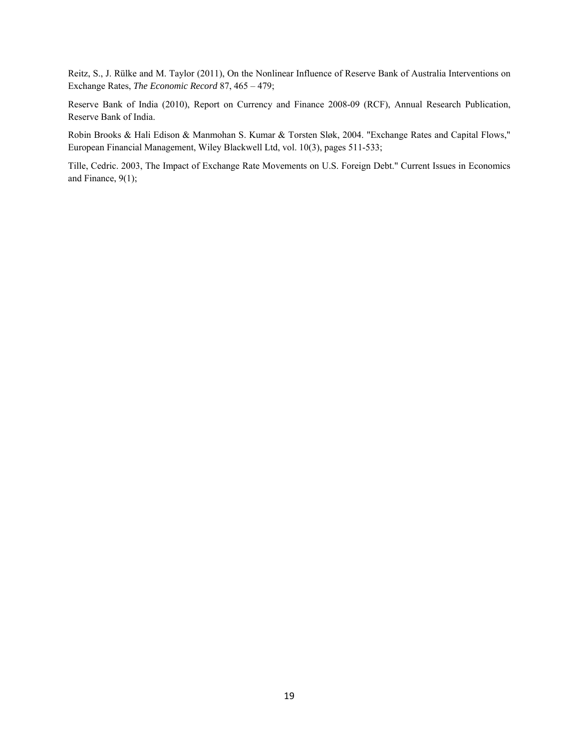Reitz, S., J. Rülke and M. Taylor (2011), On the Nonlinear Influence of Reserve Bank of Australia Interventions on Exchange Rates, *The Economic Record* 87, 465 – 479;

Reserve Bank of India (2010), Report on Currency and Finance 2008-09 (RCF), Annual Research Publication, Reserve Bank of India.

Robin Brooks & Hali Edison & Manmohan S. Kumar & Torsten Sløk, 2004. "Exchange Rates and Capital Flows," European Financial Management, Wiley Blackwell Ltd, vol. 10(3), pages 511-533;

Tille, Cedric. 2003, The Impact of Exchange Rate Movements on U.S. Foreign Debt." Current Issues in Economics and Finance, 9(1);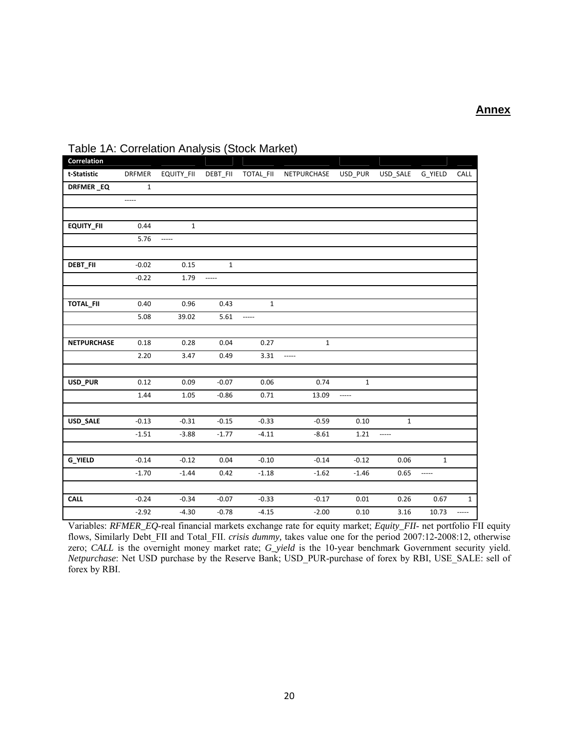| Correlation        |              |                          |              |             |              |             |              |              |              |
|--------------------|--------------|--------------------------|--------------|-------------|--------------|-------------|--------------|--------------|--------------|
| t-Statistic        | DRFMER       | EQUITY_FII               | DEBT_FII     | TOTAL_FII   | NETPURCHASE  | USD_PUR     | USD_SALE     | G_YIELD      | CALL         |
| DRFMER_EQ          | $\mathbf{1}$ |                          |              |             |              |             |              |              |              |
|                    | -----        |                          |              |             |              |             |              |              |              |
|                    |              |                          |              |             |              |             |              |              |              |
| <b>EQUITY_FII</b>  | 0.44         | $\mathbf{1}$             |              |             |              |             |              |              |              |
|                    | 5.76         | $\overline{\phantom{a}}$ |              |             |              |             |              |              |              |
|                    |              |                          |              |             |              |             |              |              |              |
| DEBT_FII           | $-0.02$      | 0.15                     | $\mathbf{1}$ |             |              |             |              |              |              |
|                    | $-0.22$      | 1.79                     | -----        |             |              |             |              |              |              |
|                    |              |                          |              |             |              |             |              |              |              |
| TOTAL_FII          | 0.40         | 0.96                     | 0.43         | $\mathbf 1$ |              |             |              |              |              |
|                    | 5.08         | 39.02                    | 5.61         | -----       |              |             |              |              |              |
|                    |              |                          |              |             |              |             |              |              |              |
| <b>NETPURCHASE</b> | 0.18         | 0.28                     | 0.04         | 0.27        | $\mathbf{1}$ |             |              |              |              |
|                    | 2.20         | 3.47                     | 0.49         | 3.31        |              |             |              |              |              |
|                    |              |                          |              |             |              |             |              |              |              |
| USD_PUR            | 0.12         | 0.09                     | $-0.07$      | 0.06        | 0.74         | $\mathbf 1$ |              |              |              |
|                    | 1.44         | 1.05                     | $-0.86$      | 0.71        | 13.09        | -----       |              |              |              |
|                    |              |                          |              |             |              |             |              |              |              |
| USD_SALE           | $-0.13$      | $-0.31$                  | $-0.15$      | $-0.33$     | $-0.59$      | 0.10        | $\mathbf{1}$ |              |              |
|                    | $-1.51$      | $-3.88$                  | $-1.77$      | $-4.11$     | $-8.61$      | 1.21        | -----        |              |              |
|                    |              |                          |              |             |              |             |              |              |              |
| <b>G_YIELD</b>     | $-0.14$      | $-0.12$                  | 0.04         | $-0.10$     | $-0.14$      | $-0.12$     | 0.06         | $\mathbf{1}$ |              |
|                    | $-1.70$      | $-1.44$                  | 0.42         | $-1.18$     | $-1.62$      | $-1.46$     | 0.65         | -----        |              |
|                    |              |                          |              |             |              |             |              |              |              |
| <b>CALL</b>        | $-0.24$      | $-0.34$                  | $-0.07$      | $-0.33$     | $-0.17$      | 0.01        | 0.26         | 0.67         | $\mathbf{1}$ |
|                    | $-2.92$      | $-4.30$                  | $-0.78$      | $-4.15$     | $-2.00$      | 0.10        | 3.16         | 10.73        | -----        |

## Table 1A: Correlation Analysis (Stock Market)

Variables: *RFMER\_EQ*-real financial markets exchange rate for equity market; *Equity\_FII*- net portfolio FII equity flows, Similarly Debt\_FII and Total\_FII. *crisis dummy,* takes value one for the period 2007:12-2008:12, otherwise zero; *CALL* is the overnight money market rate; *G\_yield* is the 10-year benchmark Government security yield. *Netpurchase*: Net USD purchase by the Reserve Bank; USD\_PUR-purchase of forex by RBI, USE\_SALE: sell of forex by RBI.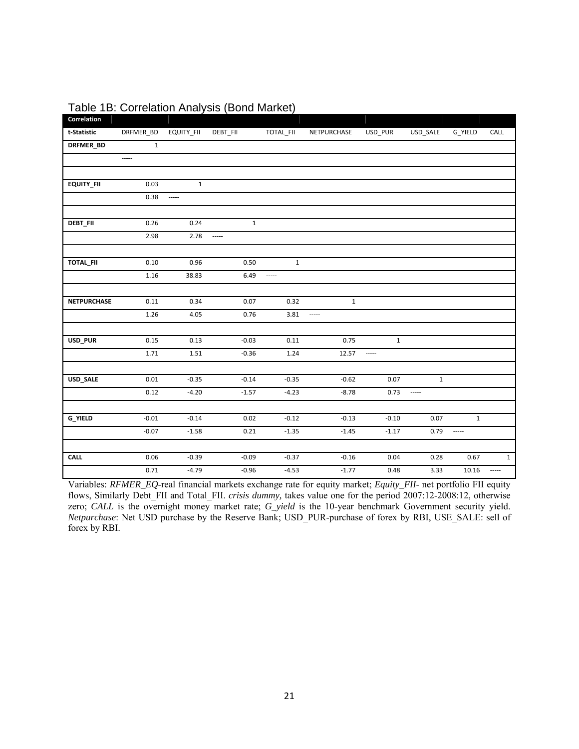| Correlation        |              |                          |              |              |              |              |                          |         |                          |
|--------------------|--------------|--------------------------|--------------|--------------|--------------|--------------|--------------------------|---------|--------------------------|
| t-Statistic        | DRFMER_BD    | EQUITY_FII               | DEBT_FII     | TOTAL_FII    | NETPURCHASE  | USD_PUR      | USD_SALE                 | G_YIELD | CALL                     |
| DRFMER_BD          | $\mathbf{1}$ |                          |              |              |              |              |                          |         |                          |
|                    | -----        |                          |              |              |              |              |                          |         |                          |
|                    |              |                          |              |              |              |              |                          |         |                          |
| <b>EQUITY_FII</b>  | 0.03         | $\mathbf{1}$             |              |              |              |              |                          |         |                          |
|                    | 0.38         | $\overline{\phantom{a}}$ |              |              |              |              |                          |         |                          |
|                    |              |                          |              |              |              |              |                          |         |                          |
| <b>DEBT_FII</b>    | 0.26         | 0.24                     | $\mathbf{1}$ |              |              |              |                          |         |                          |
|                    | 2.98         | 2.78                     | -----        |              |              |              |                          |         |                          |
|                    |              |                          |              |              |              |              |                          |         |                          |
| TOTAL_FII          | 0.10         | 0.96                     | 0.50         | $\mathbf{1}$ |              |              |                          |         |                          |
|                    | 1.16         | 38.83                    | 6.49         |              |              |              |                          |         |                          |
|                    |              |                          |              |              |              |              |                          |         |                          |
| <b>NETPURCHASE</b> | 0.11         | 0.34                     | 0.07         | 0.32         | $\mathbf{1}$ |              |                          |         |                          |
|                    | 1.26         | 4.05                     | 0.76         | 3.81         | $\cdots$     |              |                          |         |                          |
|                    |              |                          |              |              |              |              |                          |         |                          |
| USD_PUR            | 0.15         | 0.13                     | $-0.03$      | 0.11         | 0.75         | $\mathbf{1}$ |                          |         |                          |
|                    | 1.71         | 1.51                     | $-0.36$      | 1.24         | 12.57        | $\sim$       |                          |         |                          |
|                    |              |                          |              |              |              |              |                          |         |                          |
| USD_SALE           | 0.01         | $-0.35$                  | $-0.14$      | $-0.35$      | $-0.62$      | 0.07         | $\mathbf{1}$             |         |                          |
|                    | 0.12         | $-4.20$                  | $-1.57$      | $-4.23$      | $-8.78$      | 0.73         | $\overline{\phantom{a}}$ |         |                          |
|                    |              |                          |              |              |              |              |                          |         |                          |
| <b>G_YIELD</b>     | $-0.01$      | $-0.14$                  | 0.02         | $-0.12$      | $-0.13$      | $-0.10$      | 0.07                     | $1\,$   |                          |
|                    | $-0.07$      | $-1.58$                  | 0.21         | $-1.35$      | $-1.45$      | $-1.17$      | 0.79                     | -----   |                          |
|                    |              |                          |              |              |              |              |                          |         |                          |
| <b>CALL</b>        | 0.06         | $-0.39$                  | $-0.09$      | $-0.37$      | $-0.16$      | 0.04         | 0.28                     | 0.67    | $\mathbf{1}$             |
|                    | 0.71         | $-4.79$                  | $-0.96$      | $-4.53$      | $-1.77$      | 0.48         | 3.33                     | 10.16   | $\overline{\phantom{a}}$ |

Table 1B: Correlation Analysis (Bond Market)

Variables: *RFMER\_EQ*-real financial markets exchange rate for equity market; *Equity\_FII*- net portfolio FII equity flows, Similarly Debt FII and Total FII. *crisis dummy*, takes value one for the period 2007:12-2008:12, otherwise zero; *CALL* is the overnight money market rate; *G\_yield* is the 10-year benchmark Government security yield. *Netpurchase*: Net USD purchase by the Reserve Bank; USD\_PUR-purchase of forex by RBI, USE\_SALE: sell of forex by RBI.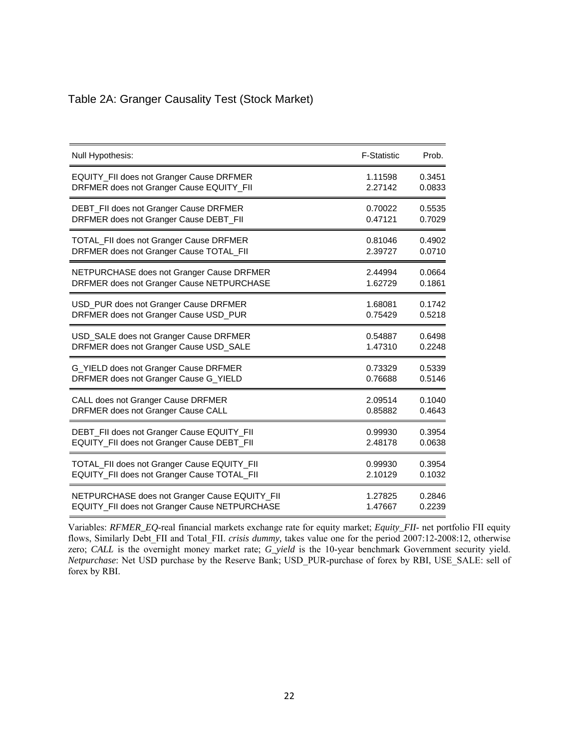# Table 2A: Granger Causality Test (Stock Market)

| Null Hypothesis:                              | <b>F-Statistic</b> | Prob.  |
|-----------------------------------------------|--------------------|--------|
| EQUITY_FII does not Granger Cause DRFMER      | 1.11598            | 0.3451 |
| DRFMER does not Granger Cause EQUITY_FII      | 2.27142            | 0.0833 |
| DEBT_FII does not Granger Cause DRFMER        | 0.70022            | 0.5535 |
| DRFMER does not Granger Cause DEBT_FII        | 0.47121            | 0.7029 |
| TOTAL_FII does not Granger Cause DRFMER       | 0.81046            | 0.4902 |
| DRFMER does not Granger Cause TOTAL_FII       | 2.39727            | 0.0710 |
| NETPURCHASE does not Granger Cause DRFMER     | 2.44994            | 0.0664 |
| DRFMER does not Granger Cause NETPURCHASE     | 1.62729            | 0.1861 |
| USD_PUR does not Granger Cause DRFMER         | 1.68081            | 0.1742 |
| DRFMER does not Granger Cause USD_PUR         | 0.75429            | 0.5218 |
| USD_SALE does not Granger Cause DRFMER        | 0.54887            | 0.6498 |
| DRFMER does not Granger Cause USD_SALE        | 1.47310            | 0.2248 |
| G_YIELD does not Granger Cause DRFMER         | 0.73329            | 0.5339 |
| DRFMER does not Granger Cause G_YIELD         | 0.76688            | 0.5146 |
| CALL does not Granger Cause DRFMER            | 2.09514            | 0.1040 |
| DRFMER does not Granger Cause CALL            | 0.85882            | 0.4643 |
| DEBT_FII does not Granger Cause EQUITY_FII    | 0.99930            | 0.3954 |
| EQUITY_FII does not Granger Cause DEBT_FII    | 2.48178            | 0.0638 |
| TOTAL_FII does not Granger Cause EQUITY_FII   | 0.99930            | 0.3954 |
| EQUITY_FII does not Granger Cause TOTAL_FII   | 2.10129            | 0.1032 |
| NETPURCHASE does not Granger Cause EQUITY_FII | 1.27825            | 0.2846 |
| EQUITY_FII does not Granger Cause NETPURCHASE | 1.47667            | 0.2239 |

Variables: *RFMER\_EQ*-real financial markets exchange rate for equity market; *Equity\_FII*- net portfolio FII equity flows, Similarly Debt\_FII and Total\_FII. *crisis dummy,* takes value one for the period 2007:12-2008:12, otherwise zero; *CALL* is the overnight money market rate; *G\_yield* is the 10-year benchmark Government security yield. *Netpurchase*: Net USD purchase by the Reserve Bank; USD\_PUR-purchase of forex by RBI, USE\_SALE: sell of forex by RBI.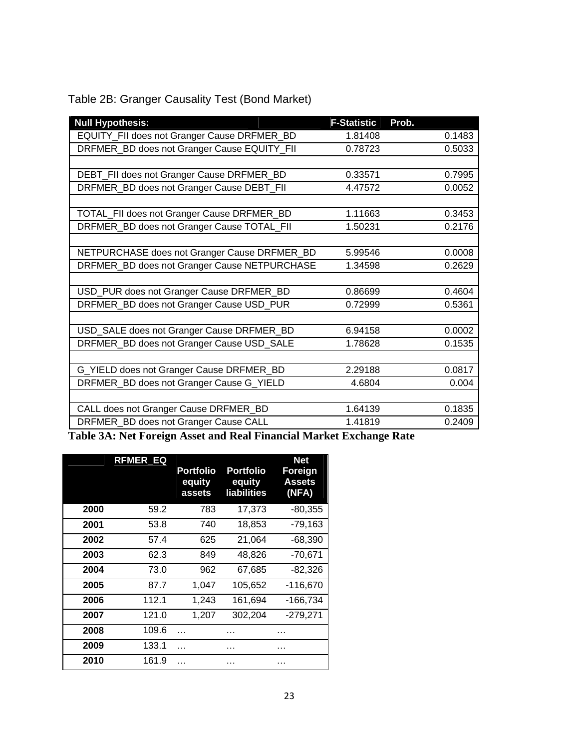| <b>Null Hypothesis:</b>                      | <b>F-Statistic</b> | Prob.  |
|----------------------------------------------|--------------------|--------|
| EQUITY_FII does not Granger Cause DRFMER_BD  | 1.81408            | 0.1483 |
| DRFMER_BD does not Granger Cause EQUITY_FII  | 0.78723            | 0.5033 |
|                                              |                    |        |
| DEBT_FII does not Granger Cause DRFMER_BD    | 0.33571            | 0.7995 |
| DRFMER_BD does not Granger Cause DEBT_FII    | 4.47572            | 0.0052 |
|                                              |                    |        |
| TOTAL_FII does not Granger Cause DRFMER_BD   | 1.11663            | 0.3453 |
| DRFMER_BD does not Granger Cause TOTAL_FII   | 1.50231            | 0.2176 |
|                                              |                    |        |
| NETPURCHASE does not Granger Cause DRFMER_BD | 5.99546            | 0.0008 |
| DRFMER_BD does not Granger Cause NETPURCHASE | 1.34598            | 0.2629 |
|                                              |                    |        |
| USD_PUR does not Granger Cause DRFMER_BD     | 0.86699            | 0.4604 |
| DRFMER_BD does not Granger Cause USD_PUR     | 0.72999            | 0.5361 |
|                                              |                    |        |
| USD_SALE does not Granger Cause DRFMER_BD    | 6.94158            | 0.0002 |
| DRFMER_BD does not Granger Cause USD_SALE    | 1.78628            | 0.1535 |
|                                              |                    |        |
| G_YIELD does not Granger Cause DRFMER_BD     | 2.29188            | 0.0817 |
| DRFMER_BD does not Granger Cause G_YIELD     | 4.6804             | 0.004  |
|                                              |                    |        |
| CALL does not Granger Cause DRFMER_BD        | 1.64139            | 0.1835 |
| DRFMER_BD does not Granger Cause CALL        | 1.41819            | 0.2409 |

Table 2B: Granger Causality Test (Bond Market)

**Table 3A: Net Foreign Asset and Real Financial Market Exchange Rate** 

|      | <b>RFMER EQ</b> |   | Portfolio<br>equity<br>assets | <b>Portfolio</b><br>equity<br><b>liabilities</b> | <b>Net</b><br>Foreign<br><b>Assets</b><br>(NFA) |
|------|-----------------|---|-------------------------------|--------------------------------------------------|-------------------------------------------------|
| 2000 | 59.2            |   | 783                           | 17,373                                           | $-80,355$                                       |
| 2001 | 53.8            |   | 740                           | 18,853                                           | $-79,163$                                       |
| 2002 | 57.4            |   | 625                           | 21,064                                           | $-68,390$                                       |
| 2003 | 62.3            |   | 849                           | 48,826                                           | $-70,671$                                       |
| 2004 | 73.0            |   | 962                           | 67,685                                           | -82,326                                         |
| 2005 | 87.7            |   | 1,047                         | 105,652                                          | -116,670                                        |
| 2006 | 112.1           |   | 1.243                         | 161,694                                          | $-166,734$                                      |
| 2007 | 121.0           |   | 1,207                         | 302,204                                          | -279,271                                        |
| 2008 | 109.6           |   |                               | .                                                |                                                 |
| 2009 | 133.1           | . |                               | .                                                |                                                 |
| 2010 | 161.9           |   |                               |                                                  |                                                 |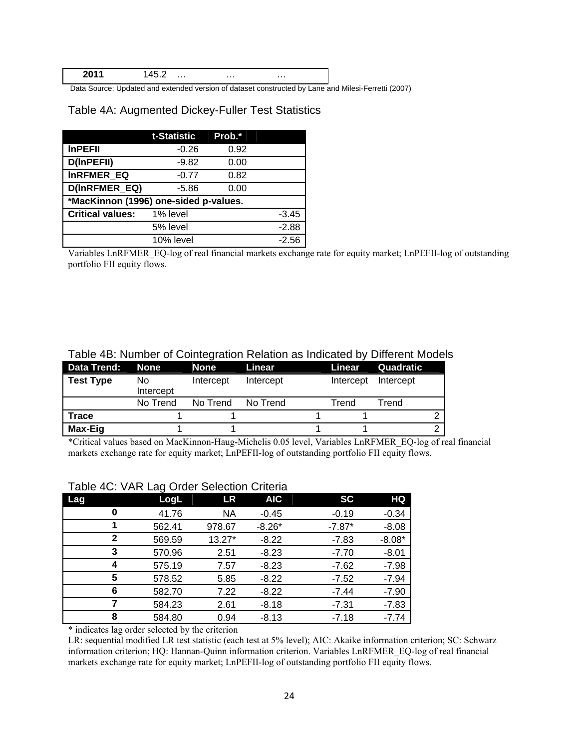**2011** 145.2 … … …

Data Source: Updated and extended version of dataset constructed by Lane and Milesi-Ferretti (2007)

Table 4A: Augmented Dickey-Fuller Test Statistics

|                                       | t-Statistic | Prob.* |         |  |  |  |  |  |
|---------------------------------------|-------------|--------|---------|--|--|--|--|--|
| <b>InPEFII</b>                        | $-0.26$     | 0.92   |         |  |  |  |  |  |
| D(InPEFII)                            | $-9.82$     | 0.00   |         |  |  |  |  |  |
| <b>InRFMER EQ</b>                     | $-0.77$     | 0.82   |         |  |  |  |  |  |
| D(InRFMER EQ)                         | $-5.86$     | 0.00   |         |  |  |  |  |  |
| *MacKinnon (1996) one-sided p-values. |             |        |         |  |  |  |  |  |
| <b>Critical values:</b>               | 1% level    |        | $-3.45$ |  |  |  |  |  |
|                                       | $-2.88$     |        |         |  |  |  |  |  |
|                                       | $-2.56$     |        |         |  |  |  |  |  |

Variables LnRFMER\_EQ-log of real financial markets exchange rate for equity market; LnPEFII-log of outstanding portfolio FII equity flows.

| Data Trend: None |                  | <b>None</b> | Linear    | Linear    | Quadratic |  |
|------------------|------------------|-------------|-----------|-----------|-----------|--|
| <b>Test Type</b> | No.<br>Intercept | Intercept   | Intercept | Intercept | Intercept |  |
|                  | No Trend         | No Trend    | No Trend  | Trend     | Trend     |  |
| Trace            |                  |             |           |           |           |  |
| Max-Eig          |                  |             |           |           |           |  |

## Table 4B: Number of Cointegration Relation as Indicated by Different Models

\*Critical values based on MacKinnon-Haug-Michelis 0.05 level, Variables LnRFMER\_EQ-log of real financial markets exchange rate for equity market; LnPEFII-log of outstanding portfolio FII equity flows.

| Lag |              | ີ<br>LogL | <b>LR</b> | <b>AIC</b> | <b>SC</b> | <b>HQ</b> |
|-----|--------------|-----------|-----------|------------|-----------|-----------|
|     | 0            | 41.76     | <b>NA</b> | $-0.45$    | $-0.19$   | $-0.34$   |
|     |              | 562.41    | 978.67    | $-8.26*$   | $-7.87*$  | $-8.08$   |
|     | $\mathbf{2}$ | 569.59    | 13.27*    | $-8.22$    | $-7.83$   | $-8.08*$  |
|     | 3            | 570.96    | 2.51      | $-8.23$    | $-7.70$   | $-8.01$   |
|     | 4            | 575.19    | 7.57      | $-8.23$    | $-7.62$   | $-7.98$   |
|     | 5            | 578.52    | 5.85      | $-8.22$    | $-7.52$   | $-7.94$   |
|     | 6            | 582.70    | 7.22      | $-8.22$    | $-7.44$   | $-7.90$   |
|     | 7            | 584.23    | 2.61      | $-8.18$    | $-7.31$   | $-7.83$   |
|     | 8            | 584.80    | 0.94      | $-8.13$    | $-7.18$   | $-7.74$   |

# Table 4C: VAR Lag Order Selection Criteria

\* indicates lag order selected by the criterion

LR: sequential modified LR test statistic (each test at 5% level); AIC: Akaike information criterion; SC: Schwarz information criterion; HQ: Hannan-Quinn information criterion. Variables LnRFMER\_EQ-log of real financial markets exchange rate for equity market; LnPEFII-log of outstanding portfolio FII equity flows.